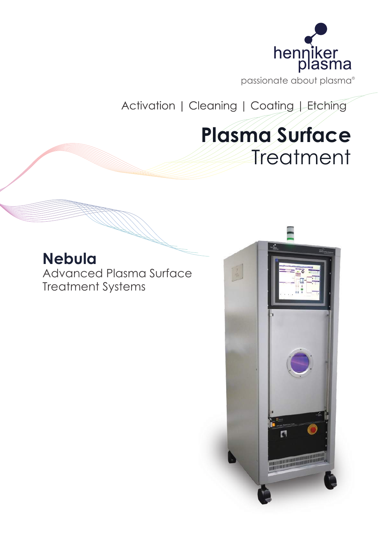

passionate about plasma R

Activation | Cleaning | Coating | Etching

# **Plasma Surface Treatment**

# **Nebula**

Advanced Plasma Surface Treatment Systems

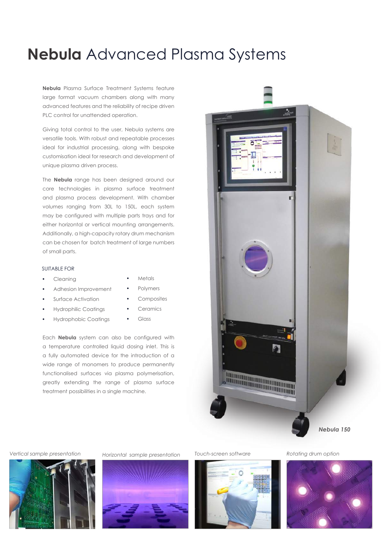### **Nebula** Advanced Plasma Systems

**Nebula** Plasma Surface Treatment Systems feature large format vacuum chambers along with many advanced features and the reliability of recipe driven PLC control for unattended operation.

Giving total control to the user, Nebula systems are versatile tools. With robust and repeatable processes ideal for industrial processing, along with bespoke customisation ideal for research and development of unique plasma driven process.

The **Nebula** range has been designed around our core technologies in plasma surface treatment and plasma process development. With chamber volumes ranging from 30L to 150L, each system may be configured with multiple parts trays and for either horizontal or vertical mounting arrangements. Additionally, a high-capacity rotary drum mechanism can be chosen for batch treatment of large numbers of small parts.

### SUITABLE FOR

- Cleaning
- Adhesion Improvement
- Surface Activation
- Hydrophilic Coatings
- Hydrophobic Coatings
- **Polymers**
- Composites

• Metals

- **Ceramics**
- Glass

Each **Nebula** system can also be configured with a temperature controlled liquid dosing inlet. This is a fully automated device for the introduction of a wide range of monomers to produce permanently functionalised surfaces via plasma polymerisation, greatly extending the range of plasma surface treatment possibilities in a single machine.











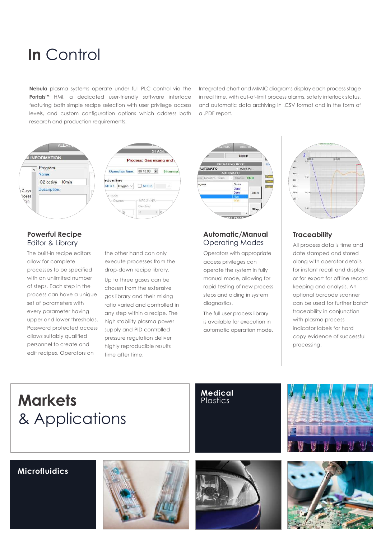## **In** Control

**Nebula** plasma systems operate under full PLC control via the Portals<sup>TM</sup> HMI, a dedicated user-friendly software interface featuring both simple recipe selection with user privilege access levels, and custom configuration options which address both research and production requirements.

Integrated chart and MIMIC diagrams display each process stage in real time, with out-of-limit process alarms, safety interlock status, and automatic data archiving in .CSV format and in the form of a .PDF report.



### Editor & Library

The built-in recipe editors allow for complete processes to be specified with an unlimited number of steps. Each step in the process can have a unique set of parameters with every parameter having upper and lower thresholds. Password protected access allows suitably qualified personnel to create and edit recipes. Operators on

the other hand can only execute processes from the drop-down recipe library. Up to three gases can be chosen from the extensive gas library and their mixing ratio varied and controlled in any step within a recipe. The high stability plasma power supply and PID controlled pressure regulation deliver highly reproducible results time after time.



### **Automatic/Manual Powerful Recipe Traceability**

Operators with appropriate access privileges can operate the system in fully manual mode, allowing for rapid testing of new process steps and aiding in system diagnostics.

The full user process library is available for execution in automatic operation mode.



Operating Modes All process data is time and date stamped and stored along with operator details for instant recall and display or for export for offline record keeping and analysis. An optional barcode scanner can be used for further batch traceability in conjunction with plasma process indicator labels for hard copy evidence of successful processing.

## **Markets** & Applications

### **Medical Plastics**



### **Microfluidics**





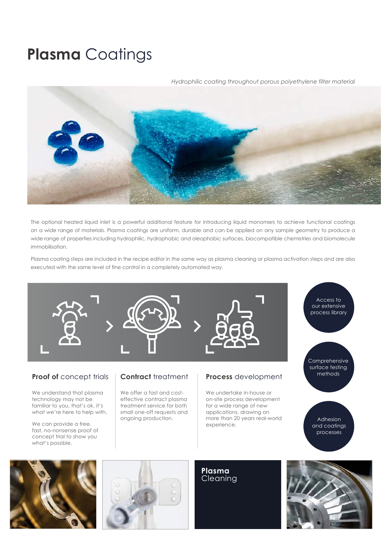## **Plasma** Coatings

### *Hydrophilic coating throughout porous polyethylene filter material*



The optional heated liquid inlet is a powerful additional feature for introducing liquid monomers to achieve functional coatings on a wide range of materials. Plasma coatings are uniform, durable and can be applied on any sample geometry to produce a wide range of properties including hydrophilic, hydrophobic and oleophobic surfaces, biocompatible chemistries and biomolecule immobilisation.

Plasma coating steps are included in the recipe editor in the same way as plasma cleaning or plasma activation steps and are also executed with the same level of fine control in a completely automated way.



technology may not be familiar to you, that's ok, it's what we're here to help with.

We can provide a free, fast, no-nonsense proof of concept trial to show you what's possible.

effective contract plasma treatment service for both small one-off requests and ongoing production.

on-site process development for a wide range of new applications, drawing on more than 20 years real-world experience.

Adhesion and coatings processes





**Plasma**  Cleaning

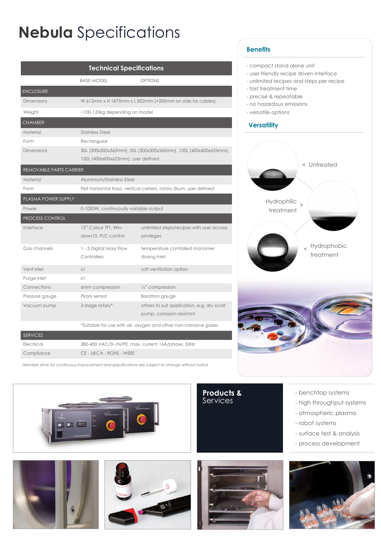# **Nebula** Specifications

| <b>Technical Specifications</b> |                                                                                                       |                                                                          |
|---------------------------------|-------------------------------------------------------------------------------------------------------|--------------------------------------------------------------------------|
|                                 | <b>BASE MODEL</b>                                                                                     | <b>OPTIONS</b>                                                           |
| <b>ENCLOSURE</b>                |                                                                                                       |                                                                          |
| <b>Dimensions</b>               | W 612mm x H 1875mm x L 852mm (+200mm on side for cables)                                              |                                                                          |
| Weight                          | $\sim$ 100-120kg depending on model                                                                   |                                                                          |
| <b>CHAMBER</b>                  |                                                                                                       |                                                                          |
| Material                        | <b>Stainless Steel</b>                                                                                |                                                                          |
| Form                            | Rectangular                                                                                           |                                                                          |
| <b>Dimensions</b>               | 30L (300x300x365mm), 50L (300x300x560mm), 100L (400x400x625mm),<br>150L (400x600x625mm), user defined |                                                                          |
| REMOVABLE PARTS CARRIER         |                                                                                                       |                                                                          |
| Material                        | Aluminium/Stainless Steel                                                                             |                                                                          |
| Form                            | Flat horizontal trays, vertical carriers, rotary drum, user defined                                   |                                                                          |
| PLASMA POWER SUPPLY             |                                                                                                       |                                                                          |
| Power                           | 0-1000W, continuously variable output                                                                 |                                                                          |
| <b>PROCESS CONTROL</b>          |                                                                                                       |                                                                          |
| Interface                       | 15" Colour TFT, Win-<br>dows10, PLC control                                                           | unlimited steps/recipes with user access<br>privileges                   |
| Gas channels                    | 1 - 3 Digital Mass Flow<br>Controllers                                                                | temperature controlled monomer<br>dosing inlet                           |
| Vent inlet                      | x1                                                                                                    | soft ventilation option                                                  |
| Purge inlet                     | $\times$ 1                                                                                            |                                                                          |
| Connections                     | 6mm compression                                                                                       | 1/4" compression                                                         |
| Pressure gauge                  | Pirani sensor                                                                                         | <b>Baratron</b> gauge                                                    |
| Vacuum pump                     | 2-stage rotary*                                                                                       | others to suit application, e.g. dry scroll<br>pump, corrosion resistant |
|                                 |                                                                                                       |                                                                          |
|                                 | *Suitable for use with air, oxygen and other non-corrosive gases                                      |                                                                          |
| <b>SERVICES</b>                 | $200 \times 100 \times 100$ $10 \times 100$                                                           |                                                                          |

Electrical 380-400 VAC/3~/N/PE, max. current 16A/phase, 50Hz Compliance CE - UKCA - ROHS - WEEE

*Henniker strive for continuous improvement and specifications are subject to change without notice*







**Products &** Services



- benchtop systems - high throughput systems - atmospheric plasma

- surface test & analysis - process development

- robot systems

### **Benefits**

- compact stand alone unit
- user friendly recipe driven interface
- unlimited recipes and steps per recipe
- fast treatment time
- precise & repeatable
- no hazardous emissions
- versatile options

### **Versatility**